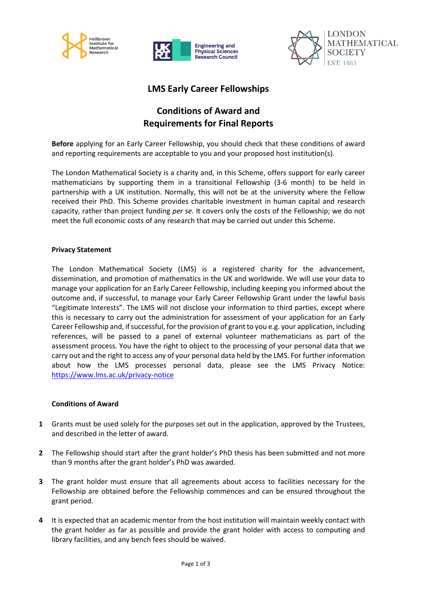





## **LMS Early Career Fellowships**

# **Conditions of Award and Requirements for Final Reports**

**Before** applying for an Early Career Fellowship, you should check that these conditions of award and reporting requirements are acceptable to you and your proposed host institution(s).

The London Mathematical Society is a charity and, in this Scheme, offers support for early career mathematicians by supporting them in a transitional Fellowship (3-6 month) to be held in partnership with a UK institution. Normally, this will not be at the university where the Fellow received their PhD. This Scheme provides charitable investment in human capital and research capacity, rather than project funding *per se.* It covers only the costs of the Fellowship; we do not meet the full economic costs of any research that may be carried out under this Scheme.

#### **Privacy Statement**

The London Mathematical Society (LMS) is a registered charity for the advancement, dissemination, and promotion of mathematics in the UK and worldwide. We will use your data to manage your application for an Early Career Fellowship, including keeping you informed about the outcome and, if successful, to manage your Early Career Fellowship Grant under the lawful basis "Legitimate Interests". The LMS will not disclose your information to third parties, except where this is necessary to carry out the administration for assessment of your application for an Early Career Fellowship and, if successful, for the provision of grant to you e.g. your application, including references, will be passed to a panel of external volunteer mathematicians as part of the assessment process. You have the right to object to the processing of your personal data that we carry out and the right to access any of your personal data held by the LMS. For further information about how the LMS processes personal data, please see the LMS Privacy Notice: <https://www.lms.ac.uk/privacy-notice>

#### **Conditions of Award**

- **1** Grants must be used solely for the purposes set out in the application, approved by the Trustees, and described in the letter of award.
- **2** The Fellowship should start after the grant holder's PhD thesis has been submitted and not more than 9 months after the grant holder's PhD was awarded.
- **3** The grant holder must ensure that all agreements about access to facilities necessary for the Fellowship are obtained before the Fellowship commences and can be ensured throughout the grant period.
- **4** It is expected that an academic mentor from the host institution will maintain weekly contact with the grant holder as far as possible and provide the grant holder with access to computing and library facilities, and any bench fees should be waived.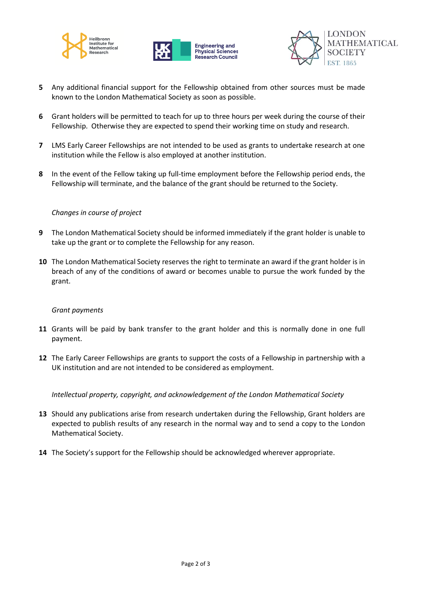





- **5** Any additional financial support for the Fellowship obtained from other sources must be made known to the London Mathematical Society as soon as possible.
- **6** Grant holders will be permitted to teach for up to three hours per week during the course of their Fellowship. Otherwise they are expected to spend their working time on study and research.
- **7** LMS Early Career Fellowships are not intended to be used as grants to undertake research at one institution while the Fellow is also employed at another institution.
- **8** In the event of the Fellow taking up full-time employment before the Fellowship period ends, the Fellowship will terminate, and the balance of the grant should be returned to the Society.

### *Changes in course of project*

- **9** The London Mathematical Society should be informed immediately if the grant holder is unable to take up the grant or to complete the Fellowship for any reason.
- **10** The London Mathematical Society reserves the right to terminate an award if the grant holder is in breach of any of the conditions of award or becomes unable to pursue the work funded by the grant.

#### *Grant payments*

- **11** Grants will be paid by bank transfer to the grant holder and this is normally done in one full payment.
- **12** The Early Career Fellowships are grants to support the costs of a Fellowship in partnership with a UK institution and are not intended to be considered as employment.

*Intellectual property, copyright, and acknowledgement of the London Mathematical Society*

- **13** Should any publications arise from research undertaken during the Fellowship, Grant holders are expected to publish results of any research in the normal way and to send a copy to the London Mathematical Society.
- **14** The Society's support for the Fellowship should be acknowledged wherever appropriate.